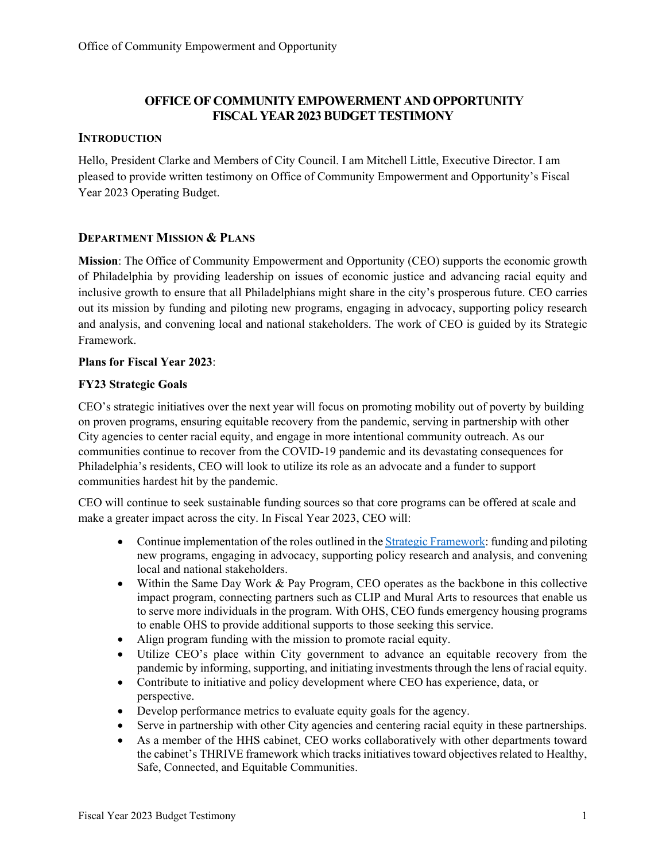## **OFFICE OF COMMUNITY EMPOWERMENT AND OPPORTUNITY FISCAL YEAR 2023 BUDGET TESTIMONY**

## **INTRODUCTION**

Hello, President Clarke and Members of City Council. I am Mitchell Little, Executive Director. I am pleased to provide written testimony on Office of Community Empowerment and Opportunity's Fiscal Year 2023 Operating Budget.

#### **DEPARTMENT MISSION & PLANS**

**Mission**: The Office of Community Empowerment and Opportunity (CEO) supports the economic growth of Philadelphia by providing leadership on issues of economic justice and advancing racial equity and inclusive growth to ensure that all Philadelphians might share in the city's prosperous future. CEO carries out its mission by funding and piloting new programs, engaging in advocacy, supporting policy research and analysis, and convening local and national stakeholders. The work of CEO is guided by its Strategic Framework.

#### **Plans for Fiscal Year 2023**:

## **FY23 Strategic Goals**

CEO's strategic initiatives over the next year will focus on promoting mobility out of poverty by building on proven programs, ensuring equitable recovery from the pandemic, serving in partnership with other City agencies to center racial equity, and engage in more intentional community outreach. As our communities continue to recover from the COVID-19 pandemic and its devastating consequences for Philadelphia's residents, CEO will look to utilize its role as an advocate and a funder to support communities hardest hit by the pandemic.

CEO will continue to seek sustainable funding sources so that core programs can be offered at scale and make a greater impact across the city. In Fiscal Year 2023, CEO will:

- Continue implementation of the roles outlined in the [Strategic Framework:](https://www.phila.gov/documents/strategic-framework/) funding and piloting new programs, engaging in advocacy, supporting policy research and analysis, and convening local and national stakeholders.
- Within the Same Day Work & Pay Program, CEO operates as the backbone in this collective impact program, connecting partners such as CLIP and Mural Arts to resources that enable us to serve more individuals in the program. With OHS, CEO funds emergency housing programs to enable OHS to provide additional supports to those seeking this service.
- Align program funding with the mission to promote racial equity.
- Utilize CEO's place within City government to advance an equitable recovery from the pandemic by informing, supporting, and initiating investments through the lens of racial equity.
- Contribute to initiative and policy development where CEO has experience, data, or perspective.
- Develop performance metrics to evaluate equity goals for the agency.
- Serve in partnership with other City agencies and centering racial equity in these partnerships.
- As a member of the HHS cabinet, CEO works collaboratively with other departments toward the cabinet's THRIVE framework which tracks initiatives toward objectives related to Healthy, Safe, Connected, and Equitable Communities.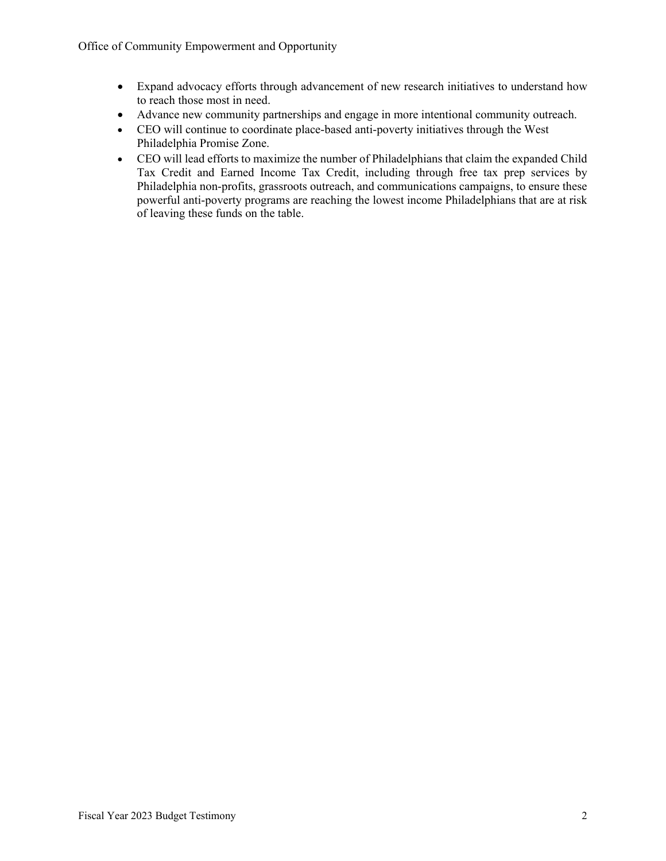- Expand advocacy efforts through advancement of new research initiatives to understand how to reach those most in need.
- Advance new community partnerships and engage in more intentional community outreach.
- CEO will continue to coordinate place-based anti-poverty initiatives through the West Philadelphia Promise Zone.
- CEO will lead efforts to maximize the number of Philadelphians that claim the expanded Child Tax Credit and Earned Income Tax Credit, including through free tax prep services by Philadelphia non-profits, grassroots outreach, and communications campaigns, to ensure these powerful anti-poverty programs are reaching the lowest income Philadelphians that are at risk of leaving these funds on the table.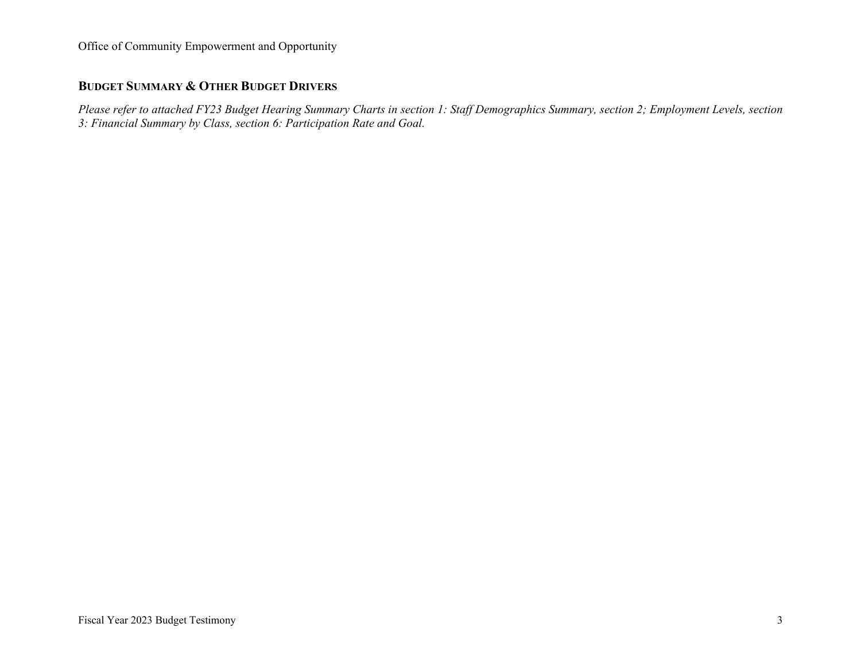## **BUDGET SUMMARY & OTHER BUDGET DRIVERS**

*Please refer to attached FY23 Budget Hearing Summary Charts in section 1: Staff Demographics Summary, section 2; Employment Levels, section 3: Financial Summary by Class, section 6: Participation Rate and Goal.*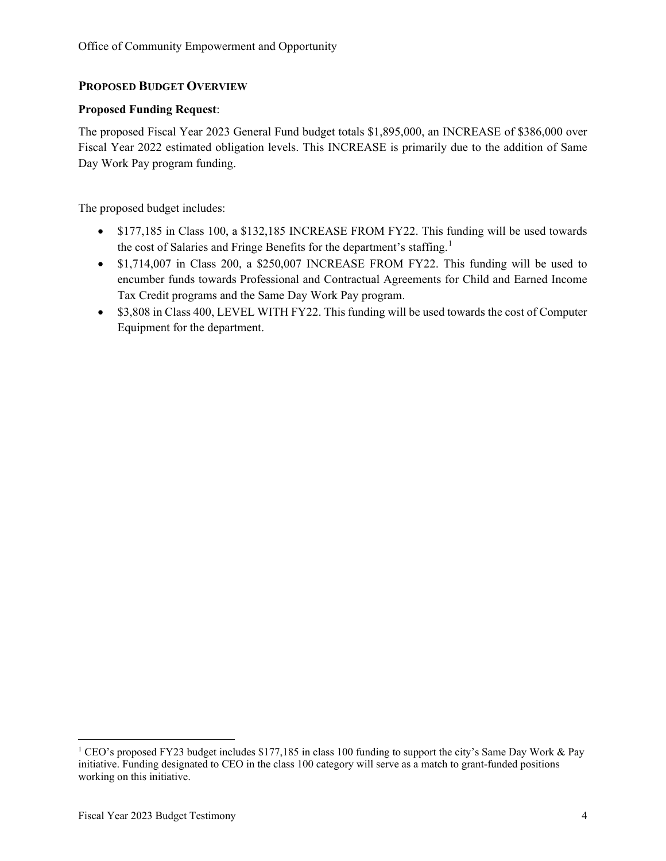#### **PROPOSED BUDGET OVERVIEW**

#### **Proposed Funding Request**:

The proposed Fiscal Year 2023 General Fund budget totals \$1,895,000, an INCREASE of \$386,000 over Fiscal Year 2022 estimated obligation levels. This INCREASE is primarily due to the addition of Same Day Work Pay program funding.

The proposed budget includes:

- \$177,185 in Class 100, a \$132,185 INCREASE FROM FY22. This funding will be used towards the cost of Salaries and Fringe Benefits for the department's staffing.<sup>[1](#page-3-0)</sup>
- \$1,714,007 in Class 200, a \$250,007 INCREASE FROM FY22. This funding will be used to encumber funds towards Professional and Contractual Agreements for Child and Earned Income Tax Credit programs and the Same Day Work Pay program.
- \$3,808 in Class 400, LEVEL WITH FY22. This funding will be used towards the cost of Computer Equipment for the department.

<span id="page-3-0"></span><sup>&</sup>lt;sup>1</sup> CEO's proposed FY23 budget includes \$177,185 in class 100 funding to support the city's Same Day Work & Pay initiative. Funding designated to CEO in the class 100 category will serve as a match to grant-funded positions working on this initiative.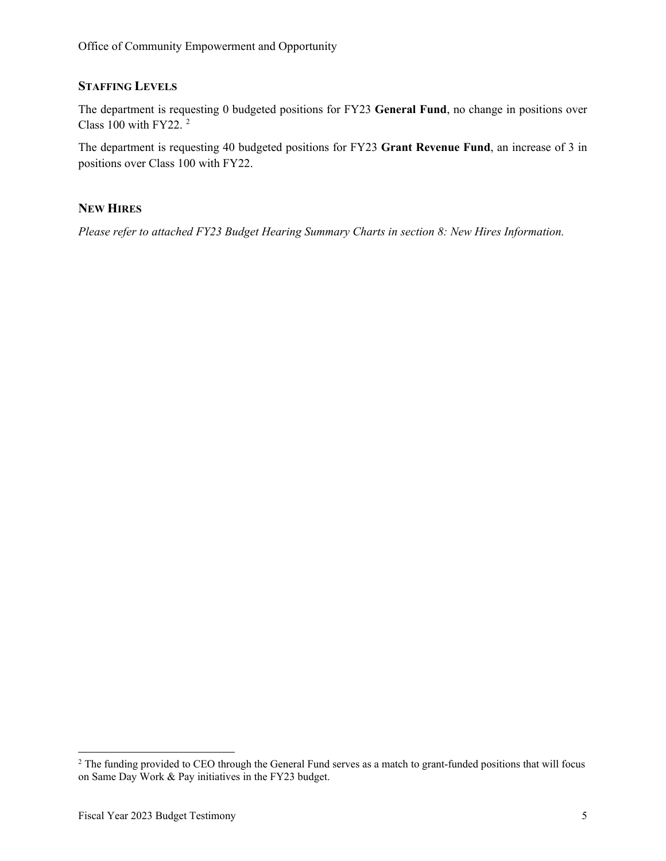#### **STAFFING LEVELS**

The department is requesting 0 budgeted positions for FY23 **General Fund**, no change in positions over Class 100 with FY[2](#page-4-0)2.  $2$ 

The department is requesting 40 budgeted positions for FY23 **Grant Revenue Fund**, an increase of 3 in positions over Class 100 with FY22.

#### **NEW HIRES**

*Please refer to attached FY23 Budget Hearing Summary Charts in section 8: New Hires Information.* 

<span id="page-4-0"></span><sup>&</sup>lt;sup>2</sup> The funding provided to CEO through the General Fund serves as a match to grant-funded positions that will focus on Same Day Work & Pay initiatives in the FY23 budget.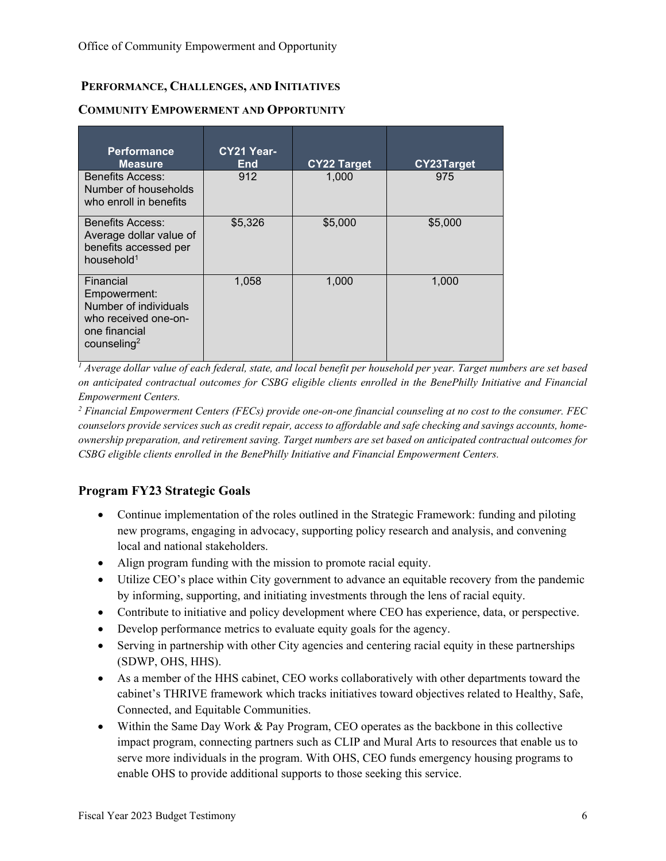## **PERFORMANCE, CHALLENGES, AND INITIATIVES**

| <b>Performance</b><br><b>Measure</b>                                                                                   | CY21 Year-<br><b>End</b> | <b>CY22 Target</b> | <b>CY23Target</b> |
|------------------------------------------------------------------------------------------------------------------------|--------------------------|--------------------|-------------------|
| <b>Benefits Access:</b><br>Number of households<br>who enroll in benefits                                              | 912                      | 1,000              | 975               |
| <b>Benefits Access:</b><br>Average dollar value of<br>benefits accessed per<br>household $1$                           | \$5,326                  | \$5,000            | \$5,000           |
| Financial<br>Empowerment:<br>Number of individuals<br>who received one-on-<br>one financial<br>counseling <sup>2</sup> | 1,058                    | 1,000              | 1,000             |

#### **COMMUNITY EMPOWERMENT AND OPPORTUNITY**

*<sup>1</sup> Average dollar value of each federal, state, and local benefit per household per year. Target numbers are set based on anticipated contractual outcomes for CSBG eligible clients enrolled in the BenePhilly Initiative and Financial Empowerment Centers.* 

*2 Financial Empowerment Centers (FECs) provide one-on-one financial counseling at no cost to the consumer. FEC counselors provide services such as credit repair, access to affordable and safe checking and savings accounts, homeownership preparation, and retirement saving. Target numbers are set based on anticipated contractual outcomes for CSBG eligible clients enrolled in the BenePhilly Initiative and Financial Empowerment Centers.*

## **Program FY23 Strategic Goals**

- Continue implementation of the roles outlined in the Strategic Framework: funding and piloting new programs, engaging in advocacy, supporting policy research and analysis, and convening local and national stakeholders.
- Align program funding with the mission to promote racial equity.
- Utilize CEO's place within City government to advance an equitable recovery from the pandemic by informing, supporting, and initiating investments through the lens of racial equity.
- Contribute to initiative and policy development where CEO has experience, data, or perspective.
- Develop performance metrics to evaluate equity goals for the agency.
- Serving in partnership with other City agencies and centering racial equity in these partnerships (SDWP, OHS, HHS).
- As a member of the HHS cabinet, CEO works collaboratively with other departments toward the cabinet's THRIVE framework which tracks initiatives toward objectives related to Healthy, Safe, Connected, and Equitable Communities.
- Within the Same Day Work & Pay Program, CEO operates as the backbone in this collective impact program, connecting partners such as CLIP and Mural Arts to resources that enable us to serve more individuals in the program. With OHS, CEO funds emergency housing programs to enable OHS to provide additional supports to those seeking this service.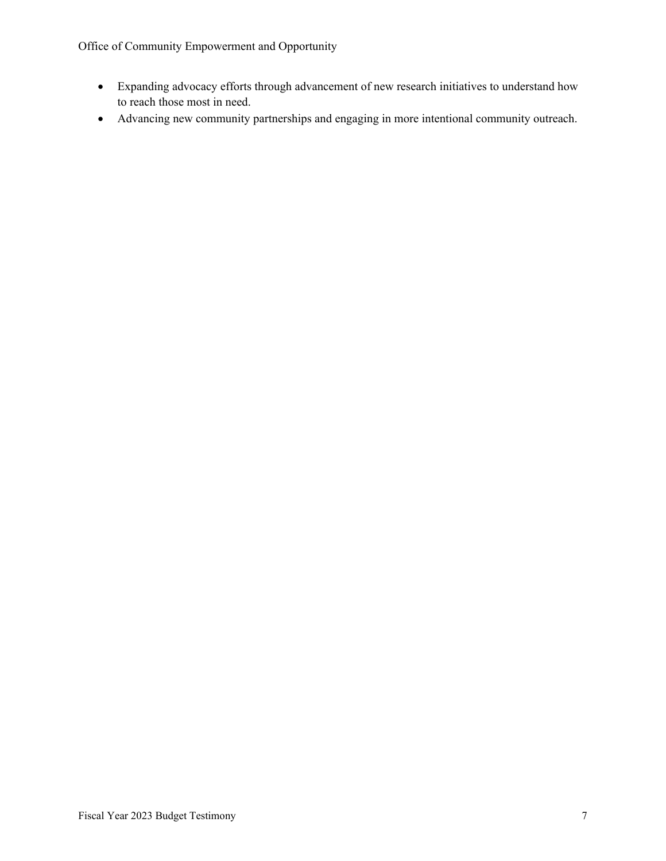- Expanding advocacy efforts through advancement of new research initiatives to understand how to reach those most in need.
- Advancing new community partnerships and engaging in more intentional community outreach.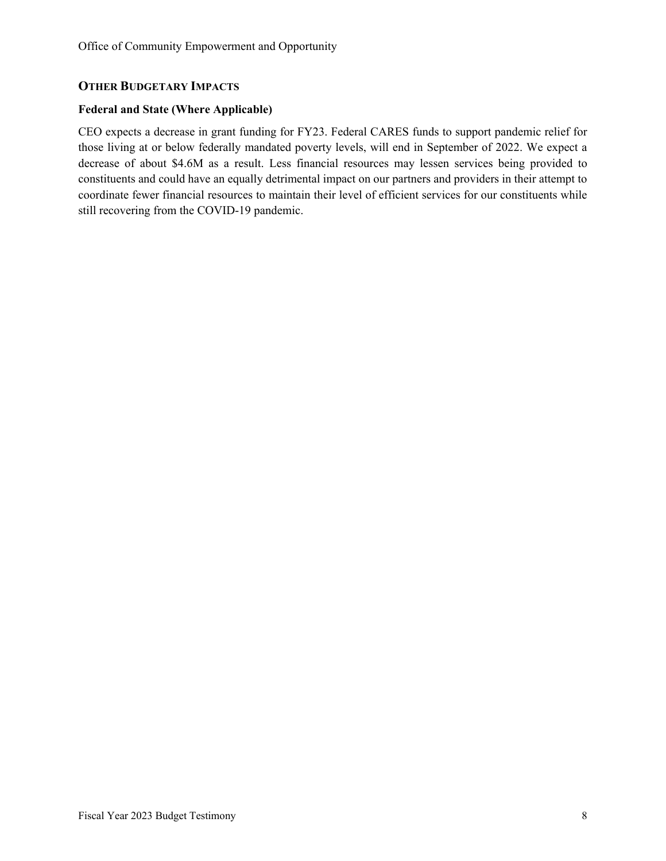#### **OTHER BUDGETARY IMPACTS**

#### **Federal and State (Where Applicable)**

CEO expects a decrease in grant funding for FY23. Federal CARES funds to support pandemic relief for those living at or below federally mandated poverty levels, will end in September of 2022. We expect a decrease of about \$4.6M as a result. Less financial resources may lessen services being provided to constituents and could have an equally detrimental impact on our partners and providers in their attempt to coordinate fewer financial resources to maintain their level of efficient services for our constituents while still recovering from the COVID-19 pandemic.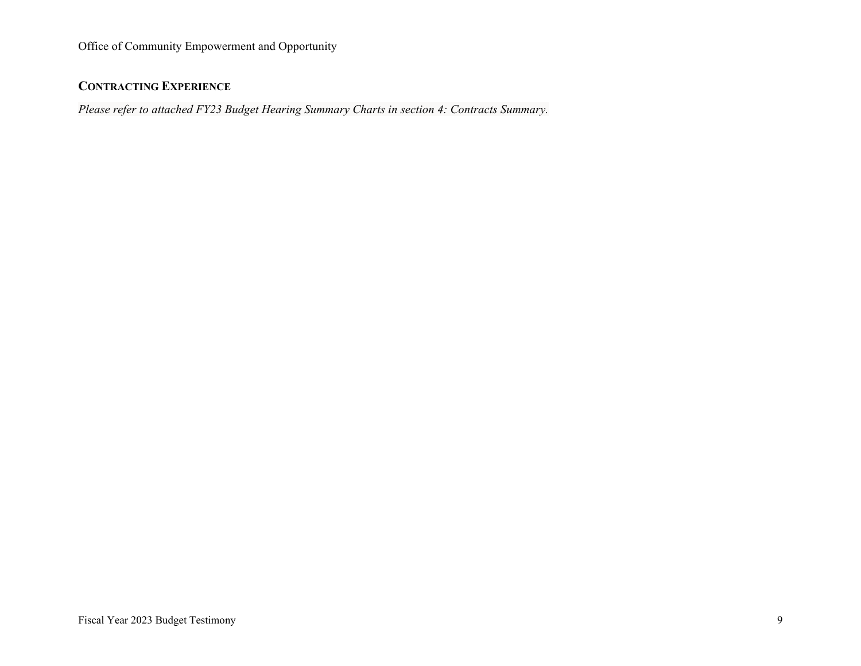## **CONTRACTING EXPERIENCE**

*Please refer to attached FY23 Budget Hearing Summary Charts in section 4: Contracts Summary.*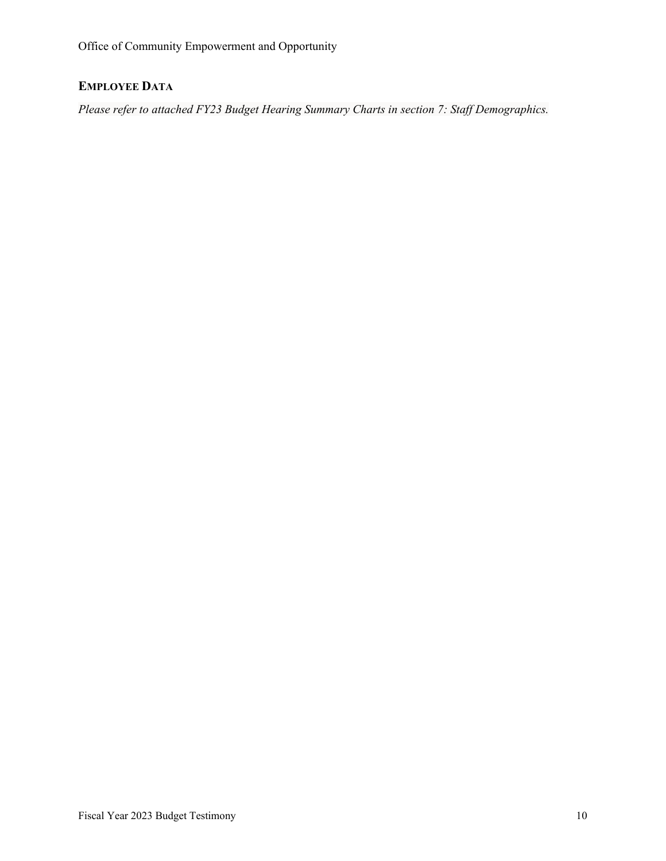# **EMPLOYEE DATA**

*Please refer to attached FY23 Budget Hearing Summary Charts in section 7: Staff Demographics.*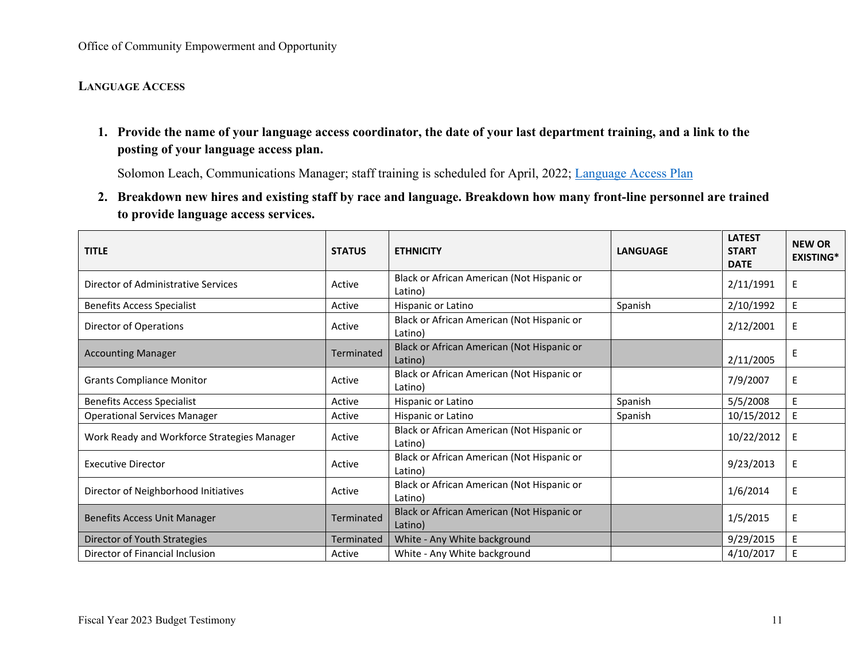## **LANGUAGE ACCESS**

**1. Provide the name of your language access coordinator, the date of your last department training, and a link to the posting of your language access plan.** 

Solomon Leach, Communications Manager; staff training is scheduled for April, 2022; [Language Access Plan](https://www.phila.gov/media/20170307162157/Final-Redacted-CEO.pdf)

**2. Breakdown new hires and existing staff by race and language. Breakdown how many front-line personnel are trained to provide language access services.**

| <b>TITLE</b>                                | <b>STATUS</b>     | <b>ETHNICITY</b>                                      | <b>LANGUAGE</b> | <b>LATEST</b><br><b>START</b><br><b>DATE</b> | <b>NEW OR</b><br><b>EXISTING*</b> |
|---------------------------------------------|-------------------|-------------------------------------------------------|-----------------|----------------------------------------------|-----------------------------------|
| Director of Administrative Services         | Active            | Black or African American (Not Hispanic or<br>Latino) |                 | 2/11/1991                                    | E                                 |
| <b>Benefits Access Specialist</b>           | Active            | Hispanic or Latino                                    | Spanish         | 2/10/1992                                    | E                                 |
| <b>Director of Operations</b>               | Active            | Black or African American (Not Hispanic or<br>Latino) |                 | 2/12/2001                                    | E                                 |
| <b>Accounting Manager</b>                   | <b>Terminated</b> | Black or African American (Not Hispanic or<br>Latino) |                 | 2/11/2005                                    | Е                                 |
| <b>Grants Compliance Monitor</b>            | Active            | Black or African American (Not Hispanic or<br>Latino) |                 | 7/9/2007                                     | E                                 |
| <b>Benefits Access Specialist</b>           | Active            | Hispanic or Latino                                    | Spanish         | 5/5/2008                                     | E                                 |
| <b>Operational Services Manager</b>         | Active            | Hispanic or Latino                                    | Spanish         | 10/15/2012                                   | E                                 |
| Work Ready and Workforce Strategies Manager | Active            | Black or African American (Not Hispanic or<br>Latino) |                 | 10/22/2012                                   | E                                 |
| <b>Executive Director</b>                   | Active            | Black or African American (Not Hispanic or<br>Latino) |                 | 9/23/2013                                    | E                                 |
| Director of Neighborhood Initiatives        | Active            | Black or African American (Not Hispanic or<br>Latino) |                 | 1/6/2014                                     | E                                 |
| <b>Benefits Access Unit Manager</b>         | Terminated        | Black or African American (Not Hispanic or<br>Latino) |                 | 1/5/2015                                     | E                                 |
| Director of Youth Strategies                | Terminated        | White - Any White background                          |                 | 9/29/2015                                    | E                                 |
| Director of Financial Inclusion             | Active            | White - Any White background                          |                 | 4/10/2017                                    | E                                 |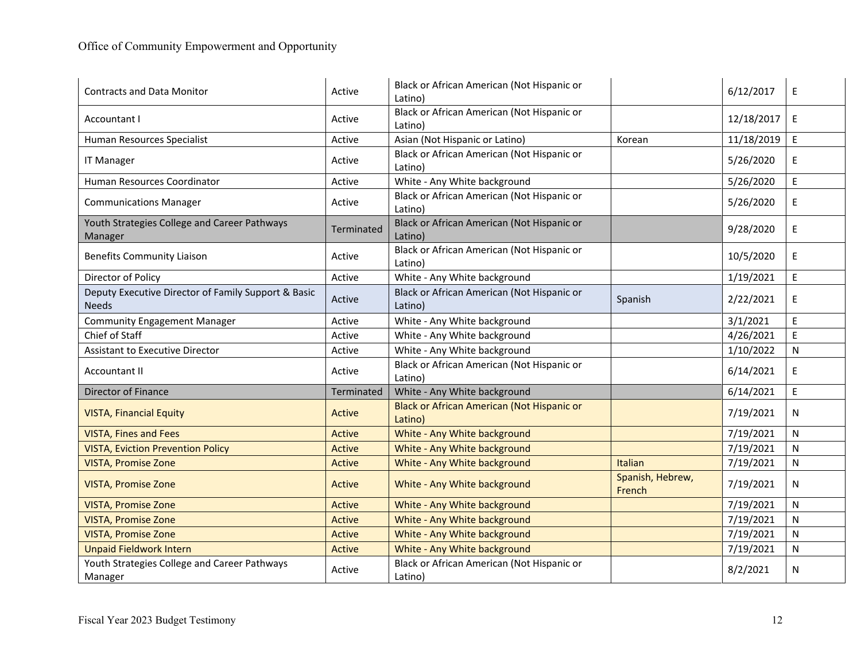| <b>Contracts and Data Monitor</b>                                   | Active        | Black or African American (Not Hispanic or<br>Latino) |                            | 6/12/2017  | E            |
|---------------------------------------------------------------------|---------------|-------------------------------------------------------|----------------------------|------------|--------------|
| Accountant I                                                        | Active        | Black or African American (Not Hispanic or<br>Latino) |                            | 12/18/2017 | E            |
| Human Resources Specialist                                          | Active        | Asian (Not Hispanic or Latino)                        | Korean                     | 11/18/2019 | E            |
| <b>IT Manager</b>                                                   | Active        | Black or African American (Not Hispanic or<br>Latino) |                            | 5/26/2020  | E            |
| Human Resources Coordinator                                         | Active        | White - Any White background                          |                            | 5/26/2020  | $\mathsf E$  |
| <b>Communications Manager</b>                                       | Active        | Black or African American (Not Hispanic or<br>Latino) |                            | 5/26/2020  | E            |
| Youth Strategies College and Career Pathways<br>Manager             | Terminated    | Black or African American (Not Hispanic or<br>Latino) |                            | 9/28/2020  | E            |
| <b>Benefits Community Liaison</b>                                   | Active        | Black or African American (Not Hispanic or<br>Latino) |                            | 10/5/2020  | E            |
| Director of Policy                                                  | Active        | White - Any White background                          |                            | 1/19/2021  | E            |
| Deputy Executive Director of Family Support & Basic<br><b>Needs</b> | Active        | Black or African American (Not Hispanic or<br>Latino) | Spanish                    | 2/22/2021  | E            |
| <b>Community Engagement Manager</b>                                 | Active        | White - Any White background                          |                            | 3/1/2021   | $\mathsf E$  |
| Chief of Staff                                                      | Active        | White - Any White background                          |                            | 4/26/2021  | E            |
| <b>Assistant to Executive Director</b>                              | Active        | White - Any White background                          |                            | 1/10/2022  | N            |
| <b>Accountant II</b>                                                | Active        | Black or African American (Not Hispanic or<br>Latino) |                            | 6/14/2021  | E            |
| Director of Finance                                                 | Terminated    | White - Any White background                          |                            | 6/14/2021  | $\mathsf E$  |
| <b>VISTA, Financial Equity</b>                                      | Active        | Black or African American (Not Hispanic or<br>Latino) |                            | 7/19/2021  | N            |
| <b>VISTA, Fines and Fees</b>                                        | <b>Active</b> | White - Any White background                          |                            | 7/19/2021  | $\mathsf{N}$ |
| <b>VISTA, Eviction Prevention Policy</b>                            | Active        | White - Any White background                          |                            | 7/19/2021  | $\mathsf{N}$ |
| <b>VISTA, Promise Zone</b>                                          | <b>Active</b> | White - Any White background                          | Italian                    | 7/19/2021  | N            |
| <b>VISTA, Promise Zone</b>                                          | Active        | White - Any White background                          | Spanish, Hebrew,<br>French | 7/19/2021  | N            |
| <b>VISTA, Promise Zone</b>                                          | <b>Active</b> | White - Any White background                          |                            | 7/19/2021  | N            |
| <b>VISTA, Promise Zone</b>                                          | Active        | White - Any White background                          |                            | 7/19/2021  | N            |
| <b>VISTA, Promise Zone</b>                                          | Active        | White - Any White background                          |                            | 7/19/2021  | N            |
| <b>Unpaid Fieldwork Intern</b>                                      | Active        | White - Any White background                          |                            | 7/19/2021  | $\mathsf{N}$ |
| Youth Strategies College and Career Pathways<br>Manager             | Active        | Black or African American (Not Hispanic or<br>Latino) |                            | 8/2/2021   | N            |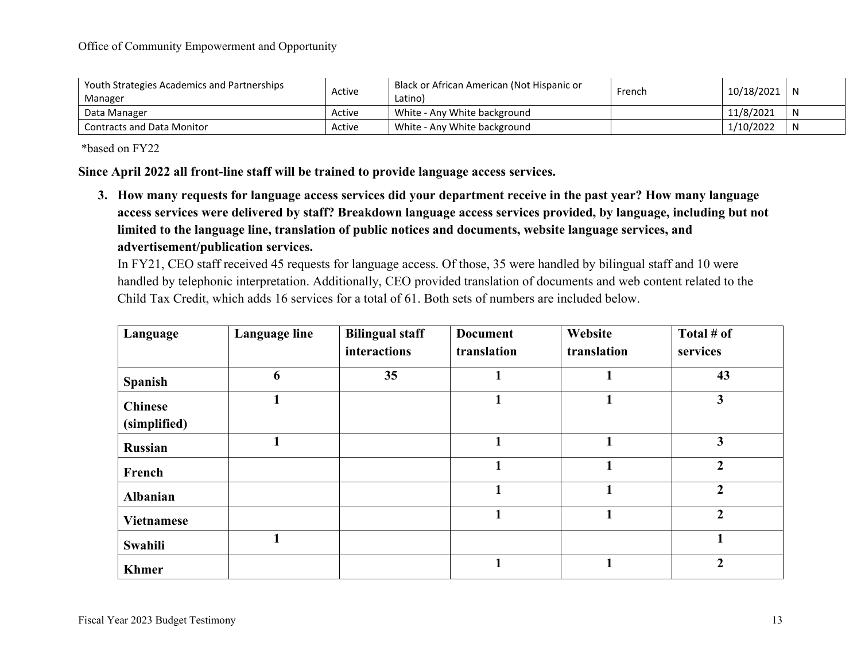| Youth Strategies Academics and Partnerships<br>Manager | Active | Black or African American (Not Hispanic or<br>Latino) | French | 10/18/2021 | -N           |
|--------------------------------------------------------|--------|-------------------------------------------------------|--------|------------|--------------|
| Data Manager                                           | Active | White - Any White background                          |        | 11/8/2021  | -N           |
| <b>Contracts and Data Monitor</b>                      | Active | White - Any White background                          |        | 1/10/2022  | $\mathsf{N}$ |

\*based on FY22

**Since April 2022 all front-line staff will be trained to provide language access services.**

**3. How many requests for language access services did your department receive in the past year? How many language access services were delivered by staff? Breakdown language access services provided, by language, including but not limited to the language line, translation of public notices and documents, website language services, and advertisement/publication services.**

In FY21, CEO staff received 45 requests for language access. Of those, 35 were handled by bilingual staff and 10 were handled by telephonic interpretation. Additionally, CEO provided translation of documents and web content related to the Child Tax Credit, which adds 16 services for a total of 61. Both sets of numbers are included below.

| Language                       | Language line | <b>Bilingual staff</b> | <b>Document</b> | Website     | Total # of              |
|--------------------------------|---------------|------------------------|-----------------|-------------|-------------------------|
|                                |               | interactions           | translation     | translation | services                |
| <b>Spanish</b>                 | 6             | 35                     |                 |             | 43                      |
| <b>Chinese</b><br>(simplified) |               |                        |                 |             | 3                       |
| <b>Russian</b>                 |               |                        | 1               |             | $\overline{\mathbf{3}}$ |
| French                         |               |                        | 1               |             | $\overline{2}$          |
| <b>Albanian</b>                |               |                        | 1               |             | $\overline{2}$          |
| <b>Vietnamese</b>              |               |                        | 1               |             | $\overline{2}$          |
| Swahili                        |               |                        |                 |             |                         |
| <b>Khmer</b>                   |               |                        |                 |             | $\overline{2}$          |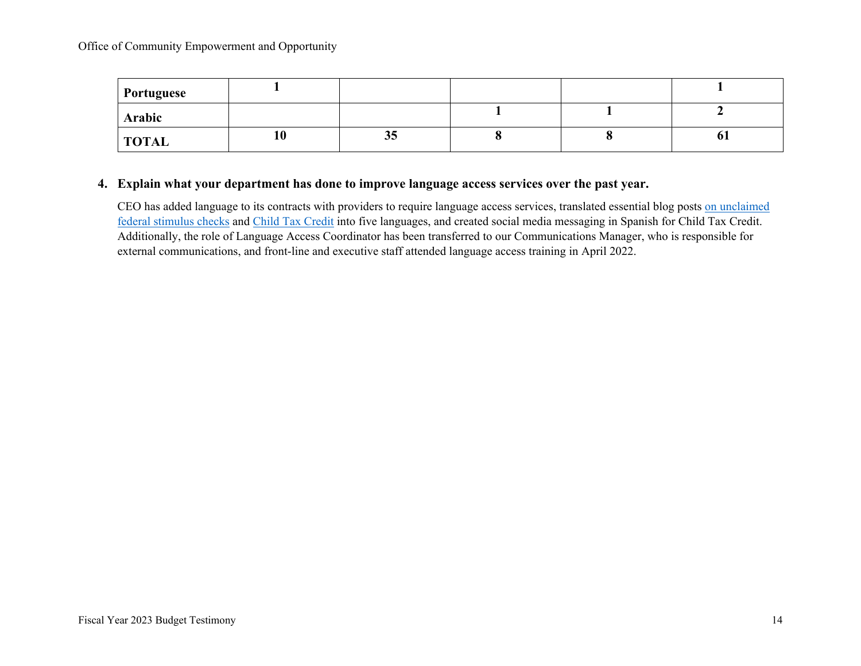| <b>Portuguese</b> |    |    |  |    |
|-------------------|----|----|--|----|
| Arabic            |    |    |  |    |
| <b>TOTAL</b>      | 10 | კუ |  | 01 |

#### **4. Explain what your department has done to improve language access services over the past year.**

CEO has added language to its contracts with providers to require language access services, translated essential blog posts [on unclaimed](https://www.phila.gov/2020-10-26-heres-how-you-can-get-your-unclaimed-federal-stimulus-check/)  [federal stimulus checks](https://www.phila.gov/2020-10-26-heres-how-you-can-get-your-unclaimed-federal-stimulus-check/) and [Child Tax Credit](https://www.phila.gov/2021-04-28-child-tax-credit-what-you-need-to-know/) into five languages, and created social media messaging in Spanish for Child Tax Credit. Additionally, the role of Language Access Coordinator has been transferred to our Communications Manager, who is responsible for external communications, and front-line and executive staff attended language access training in April 2022.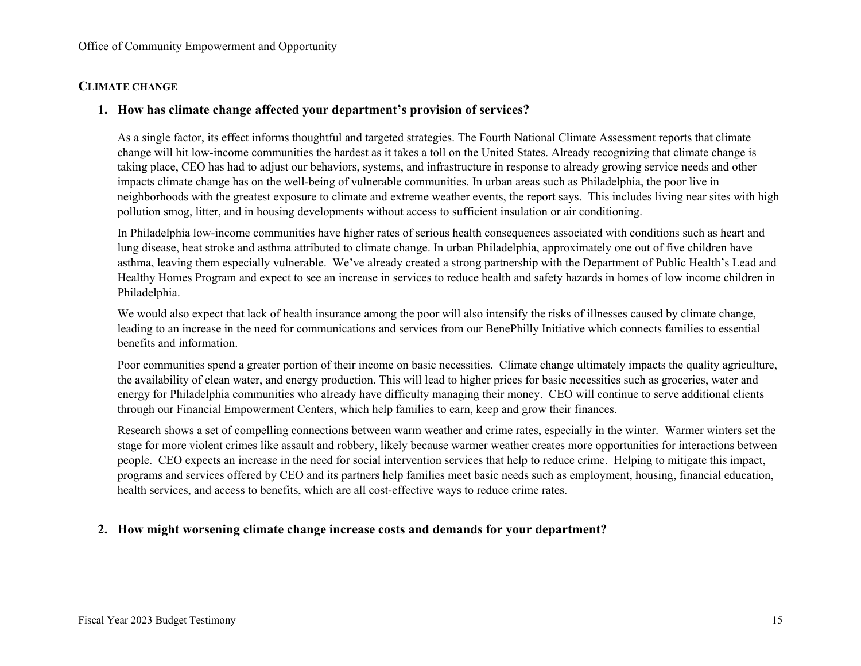#### **CLIMATE CHANGE**

#### **1. How has climate change affected your department's provision of services?**

As a single factor, its effect informs thoughtful and targeted strategies. The Fourth National Climate Assessment reports that climate change will hit low-income communities the hardest as it takes a toll on the United States. Already recognizing that climate change is taking place, CEO has had to adjust our behaviors, systems, and infrastructure in response to already growing service needs and other impacts climate change has on the well-being of vulnerable communities. In urban areas such as Philadelphia, the poor live in neighborhoods with the greatest exposure to climate and extreme weather events, the report says. This includes living near sites with high pollution smog, litter, and in housing developments without access to sufficient insulation or air conditioning.

In Philadelphia low-income communities have higher rates of serious health consequences associated with conditions such as heart and lung disease, heat stroke and asthma attributed to climate change. In urban Philadelphia, approximately one out of five children have asthma, leaving them especially vulnerable. We've already created a strong partnership with the Department of Public Health's Lead and Healthy Homes Program and expect to see an increase in services to reduce health and safety hazards in homes of low income children in Philadelphia.

We would also expect that lack of health insurance among the poor will also intensify the risks of illnesses caused by climate change, leading to an increase in the need for communications and services from our BenePhilly Initiative which connects families to essential benefits and information.

Poor communities spend a greater portion of their income on basic necessities. Climate change ultimately impacts the quality agriculture, the availability of clean water, and energy production. This will lead to higher prices for basic necessities such as groceries, water and energy for Philadelphia communities who already have difficulty managing their money. CEO will continue to serve additional clients through our Financial Empowerment Centers, which help families to earn, keep and grow their finances.

Research shows a set of compelling connections between warm weather and crime rates, especially in the winter. Warmer winters set the stage for more violent crimes like assault and robbery, likely because warmer weather creates more opportunities for interactions between people. CEO expects an increase in the need for social intervention services that help to reduce crime. Helping to mitigate this impact, programs and services offered by CEO and its partners help families meet basic needs such as employment, housing, financial education, health services, and access to benefits, which are all cost-effective ways to reduce crime rates.

## **2. How might worsening climate change increase costs and demands for your department?**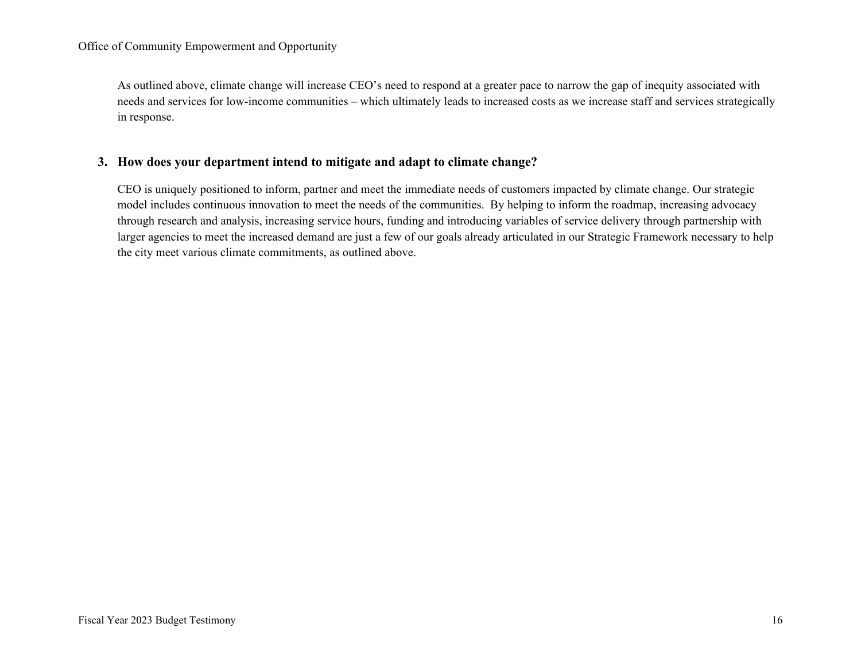As outlined above, climate change will increase CEO's need to respond at a greater pace to narrow the gap of inequity associated with needs and services for low-income communities – which ultimately leads to increased costs as we increase staff and services strategically in response.

#### **3. How does your department intend to mitigate and adapt to climate change?**

CEO is uniquely positioned to inform, partner and meet the immediate needs of customers impacted by climate change. Our strategic model includes continuous innovation to meet the needs of the communities. By helping to inform the roadmap, increasing advocacy through research and analysis, increasing service hours, funding and introducing variables of service delivery through partnership with larger agencies to meet the increased demand are just a few of our goals already articulated in our Strategic Framework necessary to help the city meet various climate commitments, as outlined above.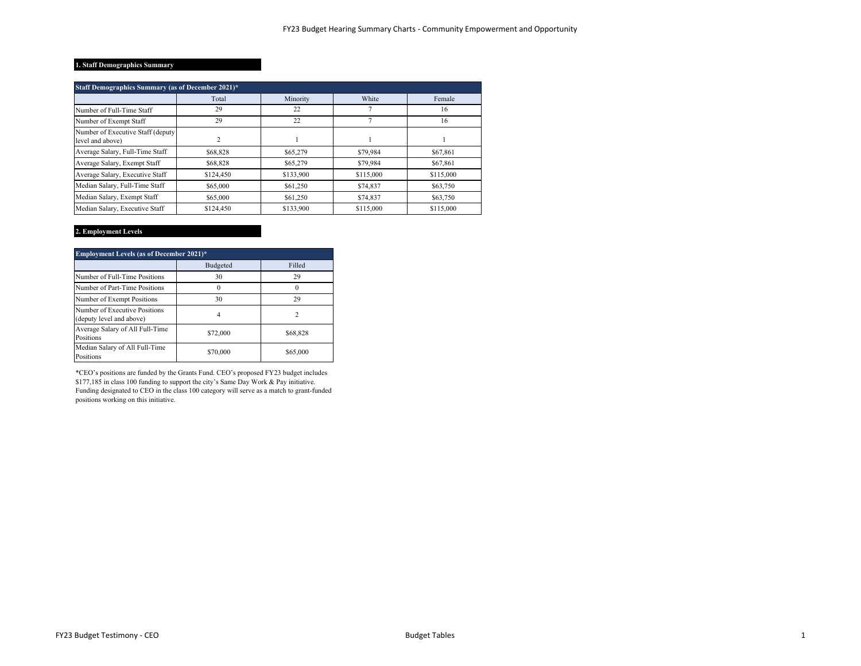#### **1. Staff Demographics Summary**

| Staff Demographics Summary (as of December 2021)*      |           |           |           |           |  |  |  |  |  |
|--------------------------------------------------------|-----------|-----------|-----------|-----------|--|--|--|--|--|
|                                                        | Total     | Minority  | White     | Female    |  |  |  |  |  |
| Number of Full-Time Staff                              | 29        | 22        |           | 16        |  |  |  |  |  |
| Number of Exempt Staff                                 | 29        | 22        |           | 16        |  |  |  |  |  |
| Number of Executive Staff (deputy)<br>level and above) | 2         |           |           |           |  |  |  |  |  |
| Average Salary, Full-Time Staff                        | \$68,828  | \$65,279  | \$79,984  | \$67,861  |  |  |  |  |  |
| Average Salary, Exempt Staff                           | \$68,828  | \$65,279  | \$79,984  | \$67,861  |  |  |  |  |  |
| Average Salary, Executive Staff                        | \$124,450 | \$133,900 | \$115,000 | \$115,000 |  |  |  |  |  |
| Median Salary, Full-Time Staff                         | \$65,000  | \$61,250  | \$74,837  | \$63,750  |  |  |  |  |  |
| Median Salary, Exempt Staff                            | \$65,000  | \$61,250  | \$74,837  | \$63,750  |  |  |  |  |  |
| Median Salary, Executive Staff                         | \$124,450 | \$133,900 | \$115,000 | \$115,000 |  |  |  |  |  |

#### **2. Employment Levels**

| <b>Employment Levels (as of December 2021)*</b>           |          |          |  |  |  |  |  |
|-----------------------------------------------------------|----------|----------|--|--|--|--|--|
|                                                           | Budgeted | Filled   |  |  |  |  |  |
| Number of Full-Time Positions                             | 30       | 29       |  |  |  |  |  |
| Number of Part-Time Positions                             |          |          |  |  |  |  |  |
| Number of Exempt Positions                                | 30       | 29       |  |  |  |  |  |
| Number of Executive Positions<br>(deputy level and above) |          |          |  |  |  |  |  |
| Average Salary of All Full-Time<br>Positions              | \$72,000 | \$68,828 |  |  |  |  |  |
| Median Salary of All Full-Time<br>Positions               | \$70,000 | \$65,000 |  |  |  |  |  |

\*CEO's positions are funded by the Grants Fund. CEO's proposed FY23 budget includes \$177,185 in class 100 funding to support the city's Same Day Work & Pay initiative. Funding designated to CEO in the class 100 category will serve as a match to grant-funded positions working on this initiative.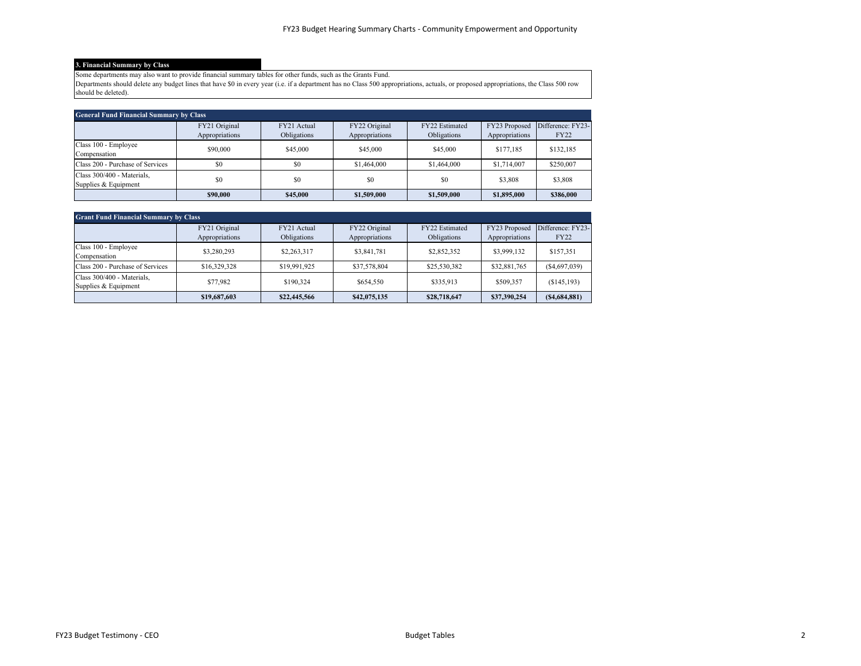#### **3. Financial Summary by Class**

Some departments may also want to provide financial summary tables for other funds, such as the Grants Fund.

Departments should delete any budget lines that have \$0 in every year (i.e. if a department has no Class 500 appropriations, actuals, or proposed appropriations, the Class 500 row should be deleted).

| <b>General Fund Financial Summary by Class</b>     |                                 |                            |                                 |                               |                                 |                                  |  |  |  |
|----------------------------------------------------|---------------------------------|----------------------------|---------------------------------|-------------------------------|---------------------------------|----------------------------------|--|--|--|
|                                                    | FY21 Original<br>Appropriations | FY21 Actual<br>Obligations | FY22 Original<br>Appropriations | FY22 Estimated<br>Obligations | FY23 Proposed<br>Appropriations | Difference: FY23-<br><b>FY22</b> |  |  |  |
| Class 100 - Employee<br>Compensation               | \$90,000                        | \$45,000                   | \$45,000                        | \$45,000                      | \$177,185                       | \$132,185                        |  |  |  |
| Class 200 - Purchase of Services                   | \$0                             | \$0                        | \$1,464,000                     | \$1,464,000                   | \$1,714,007                     | \$250,007                        |  |  |  |
| Class 300/400 - Materials.<br>Supplies & Equipment | \$0                             | \$0                        | \$0                             | \$0                           | \$3,808                         | \$3,808                          |  |  |  |
|                                                    | \$90,000                        | \$45,000                   | \$1,509,000                     | \$1,509,000                   | \$1,895,000                     | \$386,000                        |  |  |  |

| <b>Grant Fund Financial Summary by Class</b> |                |              |                |                |                |                   |  |  |  |
|----------------------------------------------|----------------|--------------|----------------|----------------|----------------|-------------------|--|--|--|
|                                              | FY21 Original  | FY21 Actual  | FY22 Original  | FY22 Estimated | FY23 Proposed  | Difference: FY23- |  |  |  |
|                                              | Appropriations | Obligations  | Appropriations | Obligations    | Appropriations | <b>FY22</b>       |  |  |  |
| Class 100 - Employee                         | \$3,280,293    | \$2,263,317  | \$3,841,781    | \$2,852,352    | \$3,999,132    | \$157,351         |  |  |  |
| Compensation                                 |                |              |                |                |                |                   |  |  |  |
| Class 200 - Purchase of Services             | \$16,329,328   | \$19,991,925 | \$37,578,804   | \$25,530,382   | \$32,881,765   | (S4,697,039)      |  |  |  |
| Class 300/400 - Materials.                   | \$77,982       | \$190,324    | \$654,550      | \$335,913      | \$509,357      | (S145, 193)       |  |  |  |
| Supplies & Equipment                         |                |              |                |                |                |                   |  |  |  |
|                                              | \$19,687,603   | \$22,445,566 | \$42,075,135   | \$28,718,647   | \$37,390,254   | (S4, 684, 881)    |  |  |  |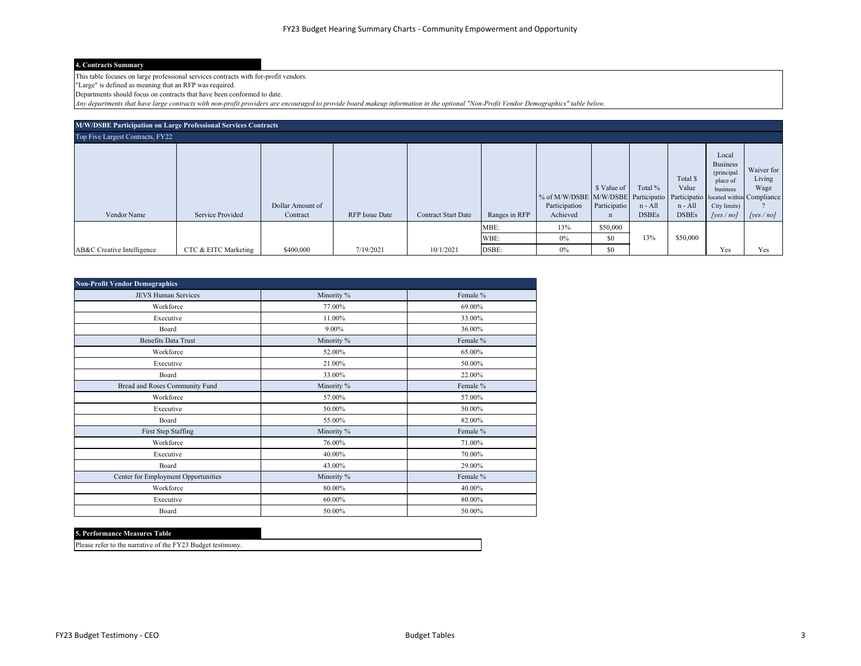#### **4. Contracts Summary**

This table focuses on large professional services contracts with for-profit vendors.

"Large" is defined as meaning that an RFP was required.

Departments should focus on contracts that have been conformed to date.

*Any departments that have large contracts with non-profit providers are encouraged to provide board makeup information in the optional "Non-Profit Vendor Demographics" table below.*

| M/W/DSBE Participation on Large Professional Services Contracts |                      |                              |                       |                            |               |                                                                                                         |                                            |                                    |                                              |                                                                                            |                                          |
|-----------------------------------------------------------------|----------------------|------------------------------|-----------------------|----------------------------|---------------|---------------------------------------------------------------------------------------------------------|--------------------------------------------|------------------------------------|----------------------------------------------|--------------------------------------------------------------------------------------------|------------------------------------------|
| Top Five Largest Contracts, FY22                                |                      |                              |                       |                            |               |                                                                                                         |                                            |                                    |                                              |                                                                                            |                                          |
| Vendor Name                                                     | Service Provided     | Dollar Amount of<br>Contract | <b>RFP</b> Issue Date | <b>Contract Start Date</b> | Ranges in RFP | % of M/W/DSBE M/W/DSBE Participatio Participatio located within Compliance<br>Participation<br>Achieved | \$ Value of<br>Participatio<br>$\mathbf n$ | Total %<br>n - All<br><b>DSBEs</b> | Total \$<br>Value<br>n - All<br><b>DSBEs</b> | Local<br><b>Business</b><br>(principal<br>place of<br>business<br>City limits)<br>[yes/no] | Waiver for<br>Living<br>Wage<br>[ves/no] |
|                                                                 |                      |                              |                       |                            | MBE:<br>WBE:  | 13%<br>0%                                                                                               | \$50,000<br>\$0                            | 13%                                | \$50,000                                     |                                                                                            |                                          |
| AB&C Creative Intelligence                                      | CTC & EITC Marketing | \$400,000                    | 7/19/2021             | 10/1/2021                  | DSBE:         | 0%                                                                                                      | \$0                                        |                                    |                                              | Yes                                                                                        | Yes                                      |

| <b>Non-Profit Vendor Demographics</b> |            |          |  |  |  |  |  |  |
|---------------------------------------|------------|----------|--|--|--|--|--|--|
| <b>JEVS Human Services</b>            | Minority % | Female % |  |  |  |  |  |  |
| Workforce                             | 77.00%     | 69.00%   |  |  |  |  |  |  |
| Executive                             | 11.00%     | 33.00%   |  |  |  |  |  |  |
| Board                                 | 9.00%      | 36.00%   |  |  |  |  |  |  |
| Benefits Data Trust                   | Minority % | Female % |  |  |  |  |  |  |
| Workforce                             | 52.00%     | 65.00%   |  |  |  |  |  |  |
| Executive                             | 21.00%     | 50.00%   |  |  |  |  |  |  |
| Board                                 | 33.00%     | 22.00%   |  |  |  |  |  |  |
| Bread and Roses Community Fund        | Minority % | Female % |  |  |  |  |  |  |
| Workforce                             | 57.00%     | 57.00%   |  |  |  |  |  |  |
| Executive                             | 50.00%     | 50.00%   |  |  |  |  |  |  |
| Board                                 | 55.00%     | 82.00%   |  |  |  |  |  |  |
| First Step Staffing                   | Minority % | Female % |  |  |  |  |  |  |
| Workforce                             | 76.00%     | 71.00%   |  |  |  |  |  |  |
| Executive                             | 40.00%     | 70.00%   |  |  |  |  |  |  |
| Board                                 | 43.00%     | 29.00%   |  |  |  |  |  |  |
| Center for Employment Opportunities   | Minority % | Female % |  |  |  |  |  |  |
| Workforce                             | 80.00%     | 40.00%   |  |  |  |  |  |  |
| Executive                             | 60.00%     | 80.00%   |  |  |  |  |  |  |
| Board                                 | 50.00%     | 50.00%   |  |  |  |  |  |  |

#### **5. Performance Measures Table**

Please refer to the narrative of the FY23 Budget testimony.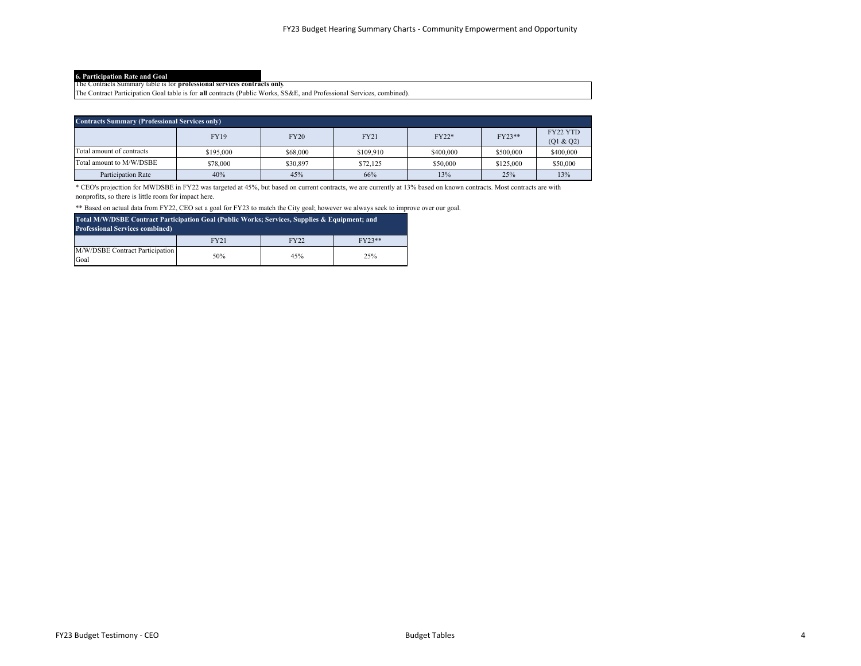**6. Participation Rate and Goal** The Contracts Summary table is for **professional services contracts only**.

The Contract Participation Goal table is for **all** contracts (Public Works, SS&E, and Professional Services, combined).

| <b>Contracts Summary (Professional Services only)</b> |             |             |             |           |           |                        |
|-------------------------------------------------------|-------------|-------------|-------------|-----------|-----------|------------------------|
|                                                       | <b>FY19</b> | <b>FY20</b> | <b>FY21</b> | FY22*     | FY23**    | FY22 YTD<br>(Q1 & 2Q2) |
| Total amount of contracts                             | \$195,000   | \$68,000    | \$109,910   | \$400,000 | \$500,000 | \$400,000              |
| Total amount to M/W/DSBE                              | \$78,000    | \$30,897    | \$72,125    | \$50,000  | \$125,000 | \$50,000               |
| Participation Rate                                    | 40%         | 45%         | 66%         | 13%       | 25%       | 13%                    |

\* CEO's projecttion for MWDSBE in FY22 was targeted at 45%, but based on current contracts, we are currently at 13% based on known contracts. Most contracts are with nonprofits, so there is little room for impact here.

\*\* Based on actual data from FY22, CEO set a goal for FY23 to match the City goal; however we always seek to improve over our goal.

| Total M/W/DSBE Contract Participation Goal (Public Works; Services, Supplies & Equipment; and<br><b>Professional Services combined)</b> |             |             |          |  |  |
|-----------------------------------------------------------------------------------------------------------------------------------------|-------------|-------------|----------|--|--|
|                                                                                                                                         | <b>FY21</b> | <b>FY22</b> | $FY23**$ |  |  |
| M/W/DSBE Contract Participation<br>Goal                                                                                                 | 50%         | 45%         | 25%      |  |  |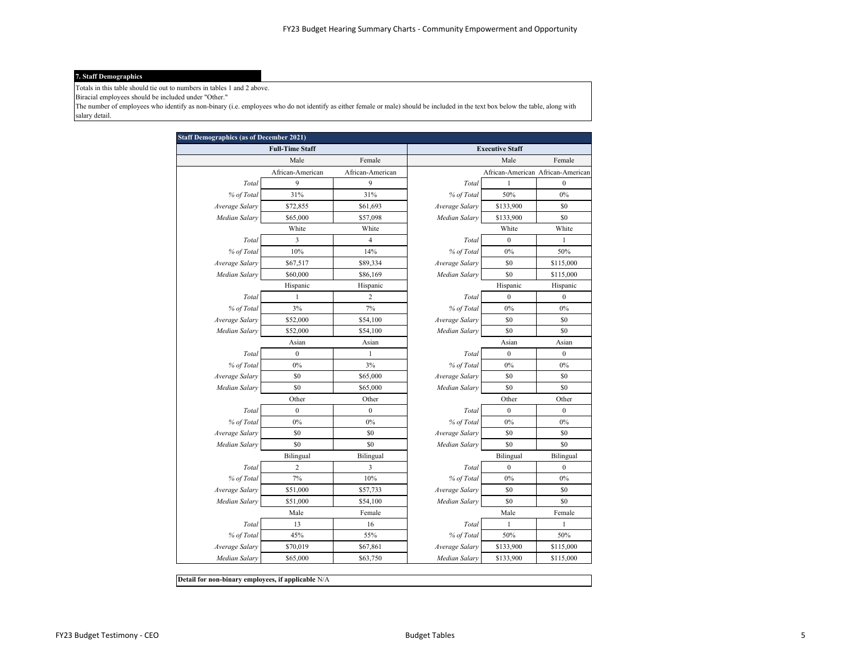#### **7. Staff Demographics**

Totals in this table should tie out to numbers in tables 1 and 2 above.

Biracial employees should be included under "Other."

The number of employees who identify as non-binary (i.e. employees who do not identify as either female or male) should be included in the text box below the table, along with salary detail.

|                | <b>Full-Time Staff</b>  |                  |                | <b>Executive Staff</b>            |                  |
|----------------|-------------------------|------------------|----------------|-----------------------------------|------------------|
|                | Male                    | Female           |                | Male                              | Female           |
|                | African-American        | African-American |                | African-American African-American |                  |
| Total          | 9                       | 9                | Total          | $\mathbf{1}$                      | $\boldsymbol{0}$ |
| % of Total     | 31%                     | 31%              | % of Total     | 50%                               | 0%               |
| Average Salary | \$72,855                | \$61,693         | Average Salary | \$133,900                         | \$0              |
| Median Salary  | \$65,000                | \$57,098         | Median Salary  | \$133,900                         | \$0              |
|                | White                   | White            |                | White                             | White            |
| Total          | 3                       | $\overline{4}$   | Total          | 0                                 | $\mathbf{1}$     |
| % of Total     | 10%                     | 14%              | % of Total     | 0%                                | 50%              |
| Average Salary | \$67,517                | \$89,334         | Average Salary | \$0                               | \$115,000        |
| Median Salary  | \$60,000                | \$86,169         | Median Salary  | \$0                               | \$115,000        |
|                | Hispanic                | Hispanic         |                | Hispanic                          | Hispanic         |
| Total          | 1                       | $\overline{2}$   | Total          | $\boldsymbol{0}$                  | $\mathbf{0}$     |
| % of Total     | 3%                      | 7%               | % of Total     | 0%                                | $0\%$            |
| Average Salary | \$52,000                | \$54,100         | Average Salary | \$0                               | \$0              |
| Median Salary  | \$52,000                | \$54,100         | Median Salary  | \$0                               | \$0              |
|                | Asian                   | Asian            |                | Asian                             | Asian            |
| Total          | $\mathbf{0}$            | $\mathbf{1}$     | Total          | $\boldsymbol{0}$                  | $\boldsymbol{0}$ |
| % of Total     | 0%                      | 3%               | % of Total     | 0%                                | 0%               |
| Average Salary | \$0                     | \$65,000         | Average Salary | \$0                               | \$0              |
| Median Salary  | \$0                     | \$65,000         | Median Salary  | \$0                               | \$0              |
|                | Other                   | Other            |                | Other                             | Other            |
| Total          | $\mathbf{0}$            | $\mathbf{0}$     | Total          | $\overline{0}$                    | $\mathbf{0}$     |
| % of Total     | 0%                      | 0%               | % of Total     | 0%                                | 0%               |
| Average Salary | \$0                     | \$0              | Average Salary | \$0                               | \$0              |
| Median Salary  | \$0                     | \$0              | Median Salary  | \$0                               | \$0              |
|                | Bilingual               | Bilingual        |                | Bilingual                         | Bilingual        |
| Total          | $\overline{\mathbf{c}}$ | 3                | Total          | $\boldsymbol{0}$                  | $\boldsymbol{0}$ |
| % of Total     | 7%                      | 10%              | % of Total     | 0%                                | 0%               |
| Average Salary | \$51,000                | \$57,733         | Average Salary | \$0                               | \$0              |
| Median Salary  | \$51,000                | \$54,100         | Median Salary  | \$0                               | \$0              |
|                | Male                    | Female           |                | Male                              | Female           |
| Total          | 13                      | 16               | Total          | $\mathbf{1}$                      | 1                |
| % of Total     | 45%                     | 55%              | % of Total     | 50%                               | 50%              |
| Average Salary | \$70,019                | \$67,861         | Average Salary | \$133,900                         | \$115,000        |
| Median Salary  | \$65,000                | \$63,750         | Median Salary  | \$133,900                         | \$115,000        |